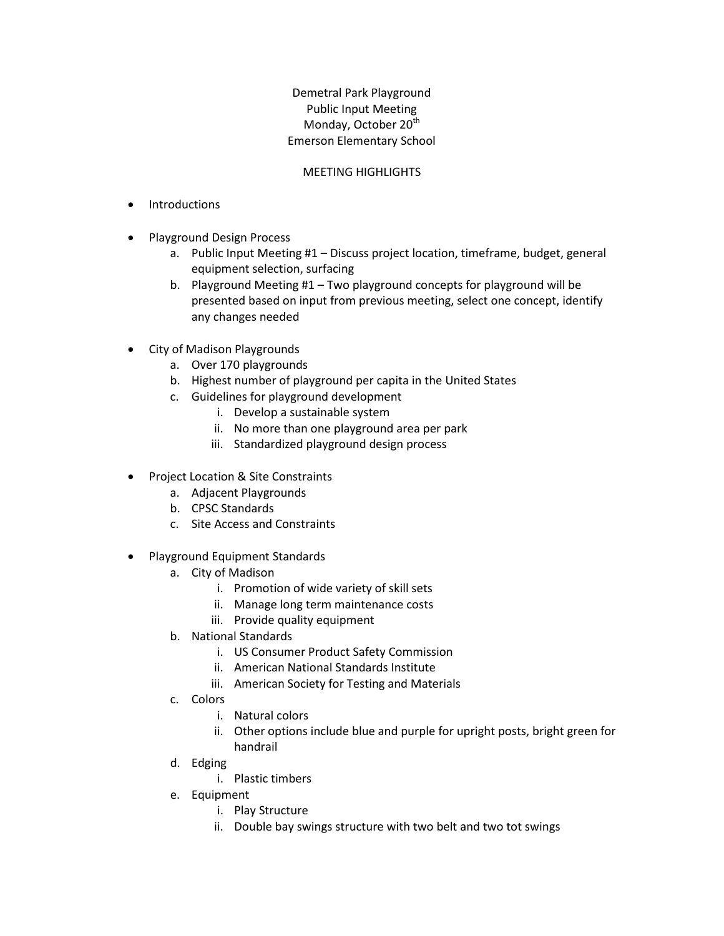## Demetral Park Playground Public Input Meeting Monday, October 20<sup>th</sup> Emerson Elementary School

## MEETING HIGHLIGHTS

- Introductions
- Playground Design Process
	- a. Public Input Meeting #1 Discuss project location, timeframe, budget, general equipment selection, surfacing
	- b. Playground Meeting #1 Two playground concepts for playground will be presented based on input from previous meeting, select one concept, identify any changes needed
- City of Madison Playgrounds
	- a. Over 170 playgrounds
	- b. Highest number of playground per capita in the United States
	- c. Guidelines for playground development
		- i. Develop a sustainable system
		- ii. No more than one playground area per park
		- iii. Standardized playground design process
- Project Location & Site Constraints
	- a. Adjacent Playgrounds
	- b. CPSC Standards
	- c. Site Access and Constraints
- Playground Equipment Standards
	- a. City of Madison
		- i. Promotion of wide variety of skill sets
		- ii. Manage long term maintenance costs
		- iii. Provide quality equipment
	- b. National Standards
		- i. US Consumer Product Safety Commission
		- ii. American National Standards Institute
		- iii. American Society for Testing and Materials
	- c. Colors
		- i. Natural colors
		- ii. Other options include blue and purple for upright posts, bright green for handrail
	- d. Edging
		- i. Plastic timbers
	- e. Equipment
		- i. Play Structure
		- ii. Double bay swings structure with two belt and two tot swings